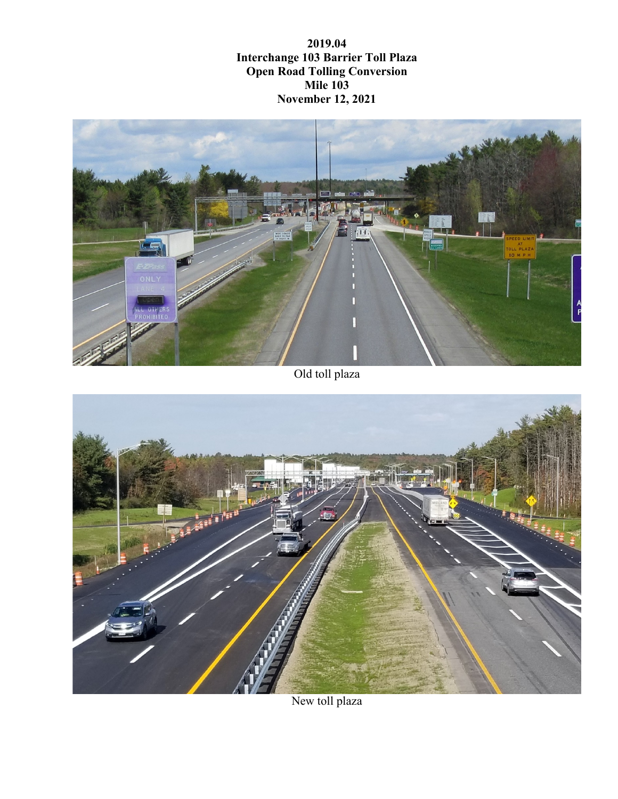**2019.04 Interchange 103 Barrier Toll Plaza Open Road Tolling Conversion Mile 103 November 12, 2021**



Old toll plaza



New toll plaza